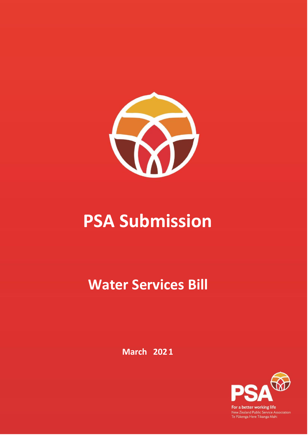

# **PSA Submission**

## **Water Services Bill**

**March 2021**



For a better working life New Zealand Public Service Association<br>Te Pükenga Here Tikanga Mahi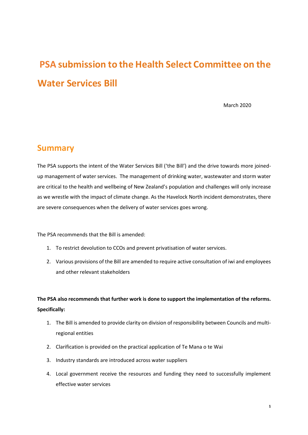## **PSA submission to the Health Select Committee on the Water Services Bill**

March 2020

## **Summary**

The PSA supports the intent of the Water Services Bill ('the Bill') and the drive towards more joinedup management of water services. The management of drinking water, wastewater and storm water are critical to the health and wellbeing of New Zealand's population and challenges will only increase as we wrestle with the impact of climate change. As the Havelock North incident demonstrates, there are severe consequences when the delivery of water services goes wrong.

The PSA recommends that the Bill is amended:

- 1. To restrict devolution to CCOs and prevent privatisation of water services.
- 2. Various provisions of the Bill are amended to require active consultation of iwi and employees and other relevant stakeholders

### **The PSA also recommends that further work is done to support the implementation of the reforms. Specifically:**

- 1. The Bill is amended to provide clarity on division of responsibility between Councils and multiregional entities
- 2. Clarification is provided on the practical application of Te Mana o te Wai
- 3. Industry standards are introduced across water suppliers
- 4. Local government receive the resources and funding they need to successfully implement effective water services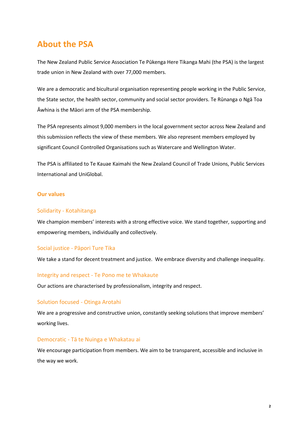## **About the PSA**

The New Zealand Public Service Association Te Pūkenga Here Tikanga Mahi (the PSA) is the largest trade union in New Zealand with over 77,000 members.

We are a democratic and bicultural organisation representing people working in the Public Service, the State sector, the health sector, community and social sector providers. Te Rūnanga o Ngā Toa Āwhina is the Māori arm of the PSA membership.

The PSA represents almost 9,000 members in the local government sector across New Zealand and this submission reflects the view of these members. We also represent members employed by significant Council Controlled Organisations such as Watercare and Wellington Water.

The PSA is affiliated to Te Kauae Kaimahi the New Zealand Council of Trade Unions, Public Services International and UniGlobal.

### **Our values**

### Solidarity - Kotahitanga

We champion members' interests with a strong effective voice. We stand together, supporting and empowering members, individually and collectively.

#### Social justice - Pāpori Ture Tika

We take a stand for decent treatment and justice. We embrace diversity and challenge inequality.

#### Integrity and respect - Te Pono me te Whakaute

Our actions are characterised by professionalism, integrity and respect.

#### Solution focused - Otinga Arotahi

We are a progressive and constructive union, constantly seeking solutions that improve members' working lives.

#### Democratic - Tā te Nuinga e Whakatau ai

We encourage participation from members. We aim to be transparent, accessible and inclusive in the way we work.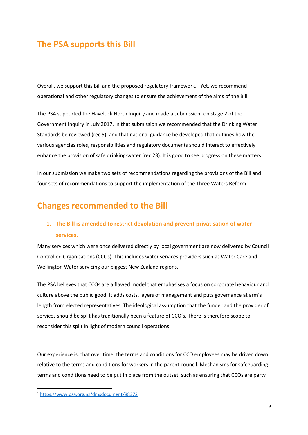## **The PSA supports this Bill**

Overall, we support this Bill and the proposed regulatory framework. Yet, we recommend operational and other regulatory changes to ensure the achievement of the aims of the Bill.

The PSA supported the Havelock North Inquiry and made a submission<sup>1</sup> on stage 2 of the Government Inquiry in July 2017. In that submission we recommended that the Drinking Water Standards be reviewed (rec 5) and that national guidance be developed that outlines how the various agencies roles, responsibilities and regulatory documents should interact to effectively enhance the provision of safe drinking-water (rec 23). It is good to see progress on these matters.

In our submission we make two sets of recommendations regarding the provisions of the Bill and four sets of recommendations to support the implementation of the Three Waters Reform.

## **Changes recommended to the Bill**

## 1. **The Bill is amended to restrict devolution and prevent privatisation of water services.**

Many services which were once delivered directly by local government are now delivered by Council Controlled Organisations (CCOs). This includes water services providers such as Water Care and Wellington Water servicing our biggest New Zealand regions.

The PSA believes that CCOs are a flawed model that emphasises a focus on corporate behaviour and culture above the public good. It adds costs, layers of management and puts governance at arm's length from elected representatives. The ideological assumption that the funder and the provider of services should be split has traditionally been a feature of CCO's. There is therefore scope to reconsider this split in light of modern council operations.

Our experience is, that over time, the terms and conditions for CCO employees may be driven down relative to the terms and conditions for workers in the parent council. Mechanisms for safeguarding terms and conditions need to be put in place from the outset, such as ensuring that CCOs are party

<sup>1</sup> <https://www.psa.org.nz/dmsdocument/88372>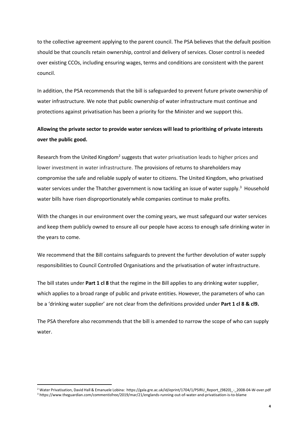to the collective agreement applying to the parent council. The PSA believes that the default position should be that councils retain ownership, control and delivery of services. Closer control is needed over existing CCOs, including ensuring wages, terms and conditions are consistent with the parent council.

In addition, the PSA recommends that the bill is safeguarded to prevent future private ownership of water infrastructure. We note that public ownership of water infrastructure must continue and protections against privatisation has been a priority for the Minister and we support this.

## **Allowing the private sector to provide water services will lead to prioritising of private interests over the public good.**

Research from the United Kingdom<sup>2</sup> suggests that water privatisation leads to higher prices and lower investment in water infrastructure. The provisions of returns to shareholders may compromise the safe and reliable supply of water to citizens. The United Kingdom, who privatised water services under the Thatcher government is now tackling an issue of water supply.<sup>3</sup> Household water bills have risen disproportionately while companies continue to make profits.

With the changes in our environment over the coming years, we must safeguard our water services and keep them publicly owned to ensure all our people have access to enough safe drinking water in the years to come.

We recommend that the Bill contains safeguards to prevent the further devolution of water supply responsibilities to Council Controlled Organisations and the privatisation of water infrastructure.

The bill states under **Part 1 cl 8** that the regime in the Bill applies to any drinking water supplier, which applies to a broad range of public and private entities. However, the parameters of who can be a 'drinking water supplier' are not clear from the definitions provided under **Part 1 cl 8 & cl9.** 

The PSA therefore also recommends that the bill is amended to narrow the scope of who can supply water.

<sup>&</sup>lt;sup>2</sup> Water Privatisation, David Hall & Emanuele Lobina: https://gala.gre.ac.uk/id/eprint/1704/1/PSIRU\_Report\_(9820)\_-\_2008-04-W-over.pdf <sup>3</sup> https://www.theguardian.com/commentisfree/2019/mar/21/englands-running-out-of-water-and-privatisation-is-to-blame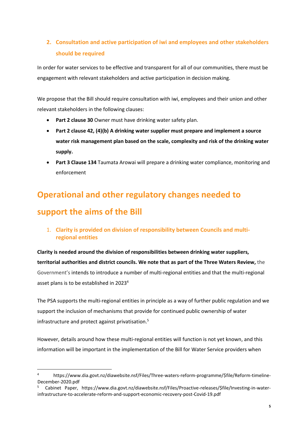## **2. Consultation and active participation of iwi and employees and other stakeholders should be required**

In order for water services to be effective and transparent for all of our communities, there must be engagement with relevant stakeholders and active participation in decision making.

We propose that the Bill should require consultation with iwi, employees and their union and other relevant stakeholders in the following clauses:

- Part 2 clause 30 Owner must have drinking water safety plan.
- **Part 2 clause 42, (4)(b) A drinking water supplier must prepare and implement a source water risk management plan based on the scale, complexity and risk of the drinking water supply.**
- **Part 3 Clause 134** Taumata Arowai will prepare a drinking water compliance, monitoring and enforcement

## **Operational and other regulatory changes needed to support the aims of the Bill**

1. **Clarity is provided on division of responsibility between Councils and multiregional entities** 

**Clarity is needed around the division of responsibilities between drinking water suppliers, territorial authorities and district councils. We note that as part of the Three Waters Review,** the Government's intends to introduce a number of multi-regional entities and that the multi-regional asset plans is to be established in 2023<sup>4</sup>

The PSA supports the multi-regional entities in principle as a way of further public regulation and we support the inclusion of mechanisms that provide for continued public ownership of water infrastructure and protect against privatisation.<sup>5</sup>

However, details around how these multi-regional entities will function is not yet known, and this information will be important in the implementation of the Bill for Water Service providers when

<sup>4</sup> https://www.dia.govt.nz/diawebsite.nsf/Files/Three-waters-reform-programme/\$file/Reform-timeline-December-2020.pdf

<sup>5</sup> Cabinet Paper, https://www.dia.govt.nz/diawebsite.nsf/Files/Proactive-releases/\$file/Investing-in-waterinfrastructure-to-accelerate-reform-and-support-economic-recovery-post-Covid-19.pdf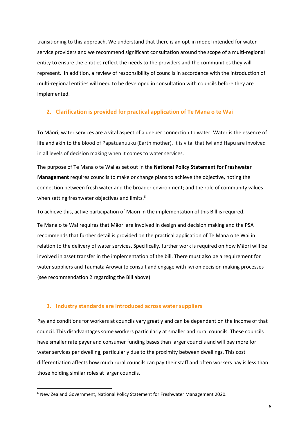transitioning to this approach. We understand that there is an opt-in model intended for water service providers and we recommend significant consultation around the scope of a multi-regional entity to ensure the entities reflect the needs to the providers and the communities they will represent. In addition, a review of responsibility of councils in accordance with the introduction of multi-regional entities will need to be developed in consultation with councils before they are implemented.

### **2. Clarification is provided for practical application of Te Mana o te Wai**

To Māori, water services are a vital aspect of a deeper connection to water. Water is the essence of life and akin to the blood of Papatuanuuku (Earth mother). It is vital that Iwi and Hapu are involved in all levels of decision making when it comes to water services.

The purpose of Te Mana o te Wai as set out in the **National Policy Statement for Freshwater Management** requires councils to make or change plans to achieve the objective, noting the connection between fresh water and the broader environment; and the role of community values when setting freshwater objectives and limits.<sup>6</sup>

To achieve this, active participation of Māori in the implementation of this Bill is required.

Te Mana o te Wai requires that Māori are involved in design and decision making and the PSA recommends that further detail is provided on the practical application of Te Mana o te Wai in relation to the delivery of water services. Specifically, further work is required on how Māori will be involved in asset transfer in the implementation of the bill. There must also be a requirement for water suppliers and Taumata Arowai to consult and engage with iwi on decision making processes (see recommendation 2 regarding the Bill above).

#### **3. Industry standards are introduced across water suppliers**

Pay and conditions for workers at councils vary greatly and can be dependent on the income of that council. This disadvantages some workers particularly at smaller and rural councils. These councils have smaller rate payer and consumer funding bases than larger councils and will pay more for water services per dwelling, particularly due to the proximity between dwellings. This cost differentiation affects how much rural councils can pay their staff and often workers pay is less than those holding similar roles at larger councils.

<sup>6</sup> New Zealand Government, National Policy Statement for Freshwater Management 2020.